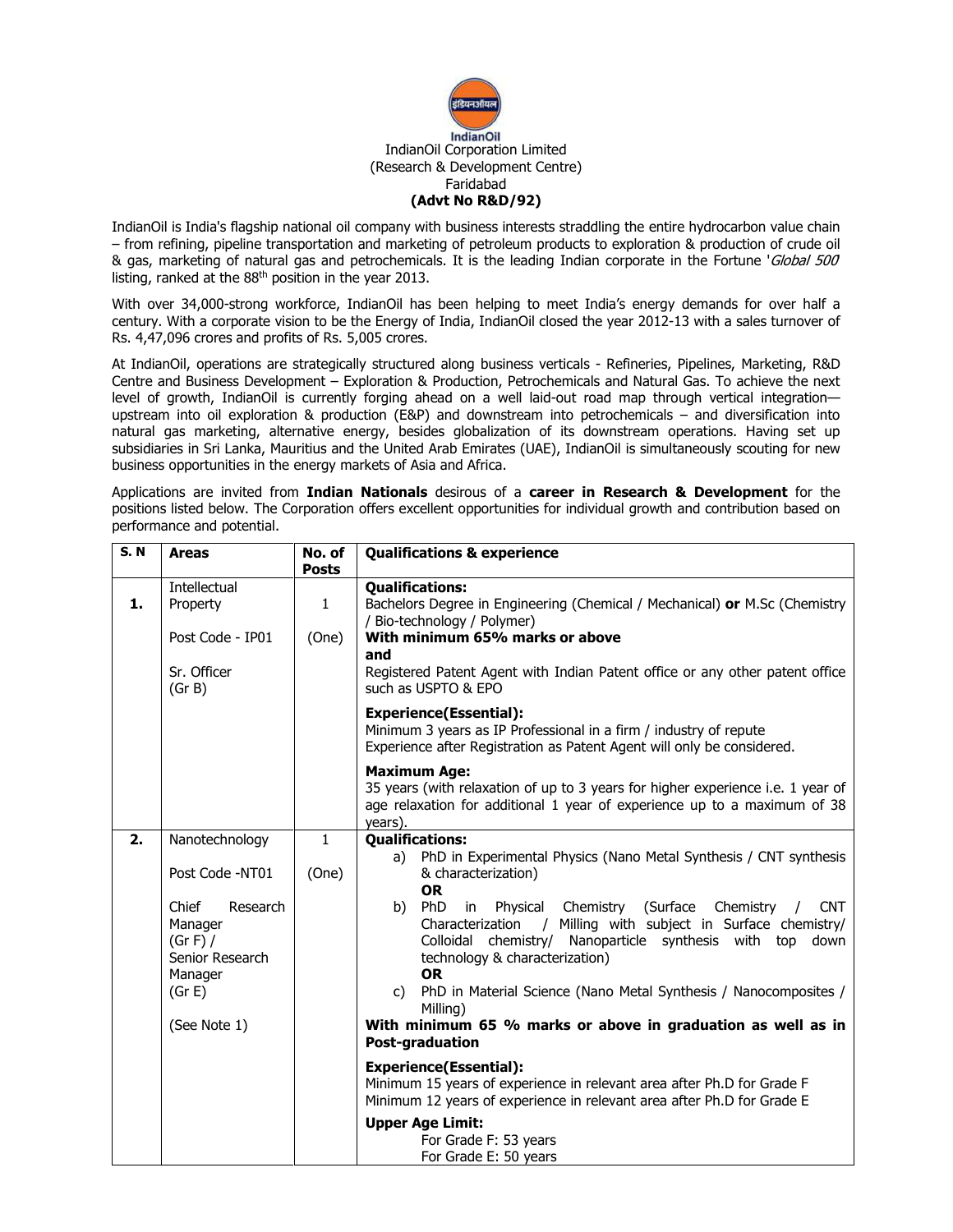

IndianOil is India's flagship national oil company with business interests straddling the entire hydrocarbon value chain – from refining, pipeline transportation and marketing of petroleum products to exploration & production of crude oil & gas, marketing of natural gas and petrochemicals. It is the leading Indian corporate in the Fortune 'Global 500' listing, ranked at the 88<sup>th</sup> position in the year 2013.

With over 34,000-strong workforce, IndianOil has been helping to meet India's energy demands for over half a century. With a corporate vision to be the Energy of India, IndianOil closed the year 2012-13 with a sales turnover of Rs. 4,47,096 crores and profits of Rs. 5,005 crores.

At IndianOil, operations are strategically structured along business verticals - Refineries, Pipelines, Marketing, R&D Centre and Business Development – Exploration & Production, Petrochemicals and Natural Gas. To achieve the next level of growth, IndianOil is currently forging ahead on a well laid-out road map through vertical integration upstream into oil exploration & production (E&P) and downstream into petrochemicals – and diversification into natural gas marketing, alternative energy, besides globalization of its downstream operations. Having set up subsidiaries in Sri Lanka, Mauritius and the United Arab Emirates (UAE), IndianOil is simultaneously scouting for new business opportunities in the energy markets of Asia and Africa.

Applications are invited from Indian Nationals desirous of a career in Research & Development for the positions listed below. The Corporation offers excellent opportunities for individual growth and contribution based on performance and potential.

| <b>S.N</b> | <b>Areas</b>                                                                                                                          | No. of<br><b>Posts</b> | <b>Qualifications &amp; experience</b>                                                                                                                                                                                                                                                                                                                                                                                                                                                                                                                                                                                                                                                                                                                                                                                            |  |  |  |  |
|------------|---------------------------------------------------------------------------------------------------------------------------------------|------------------------|-----------------------------------------------------------------------------------------------------------------------------------------------------------------------------------------------------------------------------------------------------------------------------------------------------------------------------------------------------------------------------------------------------------------------------------------------------------------------------------------------------------------------------------------------------------------------------------------------------------------------------------------------------------------------------------------------------------------------------------------------------------------------------------------------------------------------------------|--|--|--|--|
| 1.         | Intellectual<br>Property<br>Post Code - IP01<br>Sr. Officer<br>(Gr B)                                                                 | $\mathbf{1}$<br>(One)  | <b>Qualifications:</b><br>Bachelors Degree in Engineering (Chemical / Mechanical) or M.Sc (Chemistry<br>/ Bio-technology / Polymer)<br>With minimum 65% marks or above<br>and<br>Registered Patent Agent with Indian Patent office or any other patent office<br>such as USPTO & EPO                                                                                                                                                                                                                                                                                                                                                                                                                                                                                                                                              |  |  |  |  |
|            |                                                                                                                                       |                        | <b>Experience(Essential):</b><br>Minimum 3 years as IP Professional in a firm / industry of repute<br>Experience after Registration as Patent Agent will only be considered.                                                                                                                                                                                                                                                                                                                                                                                                                                                                                                                                                                                                                                                      |  |  |  |  |
|            |                                                                                                                                       |                        | <b>Maximum Age:</b><br>35 years (with relaxation of up to 3 years for higher experience i.e. 1 year of<br>age relaxation for additional 1 year of experience up to a maximum of 38<br>years).                                                                                                                                                                                                                                                                                                                                                                                                                                                                                                                                                                                                                                     |  |  |  |  |
| 2.         | Nanotechnology<br>Post Code -NT01<br>Chief<br>Research<br>Manager<br>(Gr F) /<br>Senior Research<br>Manager<br>(Gr E)<br>(See Note 1) | $\mathbf{1}$<br>(One)  | <b>Qualifications:</b><br>a) PhD in Experimental Physics (Nano Metal Synthesis / CNT synthesis<br>& characterization)<br><b>OR</b><br>b) PhD in Physical<br>Chemistry (Surface Chemistry<br><b>CNT</b><br>/ Milling with subject in Surface chemistry/<br>Characterization<br>Colloidal chemistry/ Nanoparticle synthesis with top<br>down<br>technology & characterization)<br><b>OR</b><br>c) PhD in Material Science (Nano Metal Synthesis / Nanocomposites /<br>Milling)<br>With minimum 65 % marks or above in graduation as well as in<br>Post-graduation<br><b>Experience(Essential):</b><br>Minimum 15 years of experience in relevant area after Ph.D for Grade F<br>Minimum 12 years of experience in relevant area after Ph.D for Grade E<br><b>Upper Age Limit:</b><br>For Grade F: 53 years<br>For Grade E: 50 years |  |  |  |  |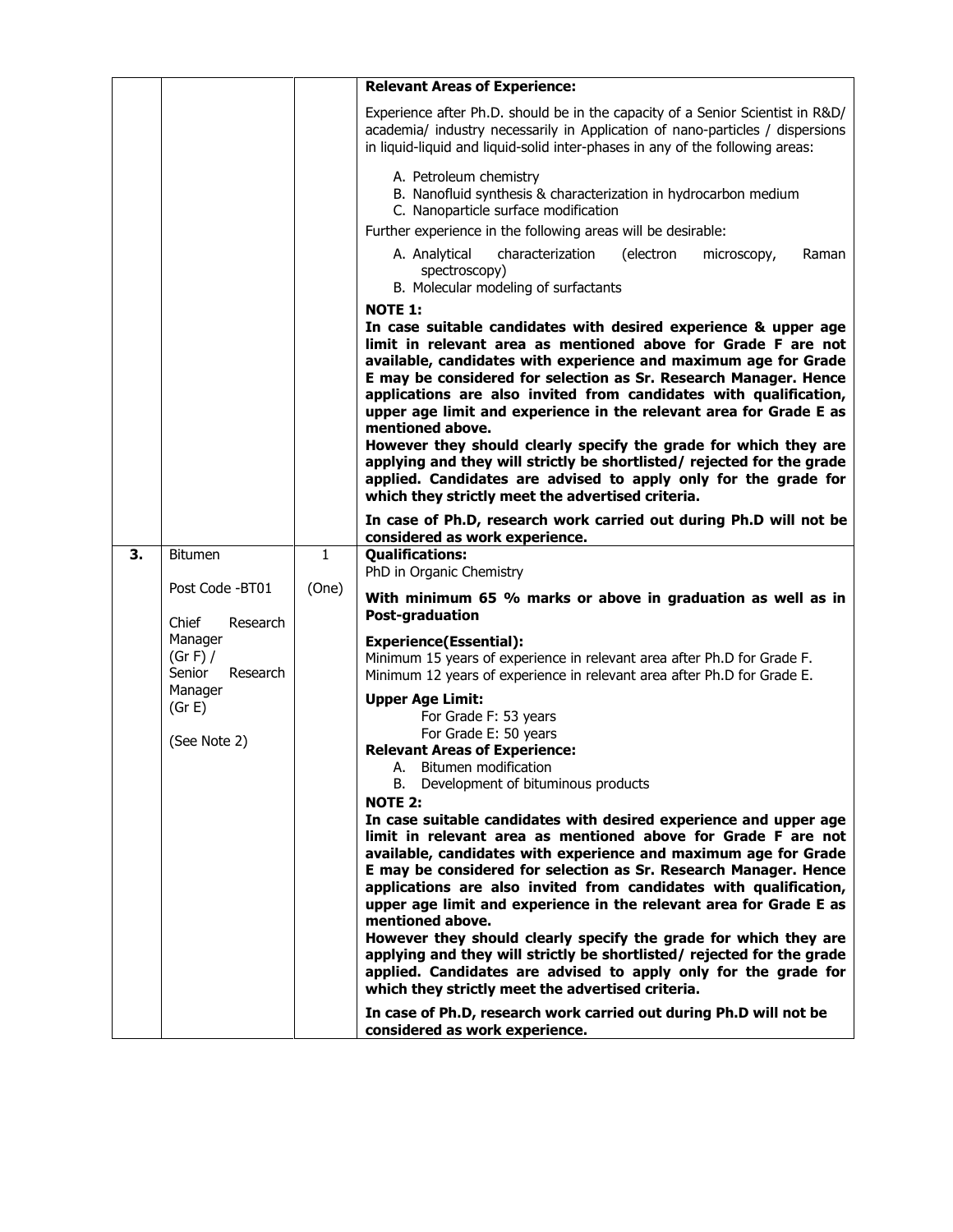|    |                                                                                |              | <b>Relevant Areas of Experience:</b>                                                                                                                                                                                                                                                                                                                                                                                                                                                                                                                                                                                                                                                                                 |  |  |  |  |  |
|----|--------------------------------------------------------------------------------|--------------|----------------------------------------------------------------------------------------------------------------------------------------------------------------------------------------------------------------------------------------------------------------------------------------------------------------------------------------------------------------------------------------------------------------------------------------------------------------------------------------------------------------------------------------------------------------------------------------------------------------------------------------------------------------------------------------------------------------------|--|--|--|--|--|
|    |                                                                                |              | Experience after Ph.D. should be in the capacity of a Senior Scientist in R&D/<br>academia/ industry necessarily in Application of nano-particles / dispersions<br>in liquid-liquid and liquid-solid inter-phases in any of the following areas:                                                                                                                                                                                                                                                                                                                                                                                                                                                                     |  |  |  |  |  |
|    |                                                                                |              | A. Petroleum chemistry<br>B. Nanofluid synthesis & characterization in hydrocarbon medium<br>C. Nanoparticle surface modification                                                                                                                                                                                                                                                                                                                                                                                                                                                                                                                                                                                    |  |  |  |  |  |
|    |                                                                                |              | Further experience in the following areas will be desirable:                                                                                                                                                                                                                                                                                                                                                                                                                                                                                                                                                                                                                                                         |  |  |  |  |  |
|    |                                                                                |              | characterization<br>(electron<br>A. Analytical<br>microscopy,<br>Raman<br>spectroscopy)<br>B. Molecular modeling of surfactants                                                                                                                                                                                                                                                                                                                                                                                                                                                                                                                                                                                      |  |  |  |  |  |
|    |                                                                                |              | <b>NOTE 1:</b>                                                                                                                                                                                                                                                                                                                                                                                                                                                                                                                                                                                                                                                                                                       |  |  |  |  |  |
|    |                                                                                |              | In case suitable candidates with desired experience & upper age<br>limit in relevant area as mentioned above for Grade F are not<br>available, candidates with experience and maximum age for Grade<br>E may be considered for selection as Sr. Research Manager. Hence<br>applications are also invited from candidates with qualification,<br>upper age limit and experience in the relevant area for Grade E as<br>mentioned above.<br>However they should clearly specify the grade for which they are<br>applying and they will strictly be shortlisted/ rejected for the grade<br>applied. Candidates are advised to apply only for the grade for<br>which they strictly meet the advertised criteria.         |  |  |  |  |  |
|    |                                                                                |              | In case of Ph.D, research work carried out during Ph.D will not be                                                                                                                                                                                                                                                                                                                                                                                                                                                                                                                                                                                                                                                   |  |  |  |  |  |
| З. | <b>Bitumen</b>                                                                 | $\mathbf{1}$ | considered as work experience.<br><b>Qualifications:</b>                                                                                                                                                                                                                                                                                                                                                                                                                                                                                                                                                                                                                                                             |  |  |  |  |  |
|    |                                                                                |              | PhD in Organic Chemistry                                                                                                                                                                                                                                                                                                                                                                                                                                                                                                                                                                                                                                                                                             |  |  |  |  |  |
|    | Post Code -BT01<br>Chief<br>Research                                           | (One)        | With minimum 65 % marks or above in graduation as well as in<br>Post-graduation                                                                                                                                                                                                                                                                                                                                                                                                                                                                                                                                                                                                                                      |  |  |  |  |  |
|    | Manager<br>(Gr F) /<br>Senior<br>Research<br>Manager<br>(Gr E)<br>(See Note 2) |              | <b>Experience(Essential):</b><br>Minimum 15 years of experience in relevant area after Ph.D for Grade F.<br>Minimum 12 years of experience in relevant area after Ph.D for Grade E.                                                                                                                                                                                                                                                                                                                                                                                                                                                                                                                                  |  |  |  |  |  |
|    |                                                                                |              | <b>Upper Age Limit:</b><br>For Grade F: 53 years<br>For Grade E: 50 years<br><b>Relevant Areas of Experience:</b><br>A. Bitumen modification                                                                                                                                                                                                                                                                                                                                                                                                                                                                                                                                                                         |  |  |  |  |  |
|    |                                                                                |              | B. Development of bituminous products<br><b>NOTE 2:</b><br>In case suitable candidates with desired experience and upper age<br>limit in relevant area as mentioned above for Grade F are not<br>available, candidates with experience and maximum age for Grade<br>E may be considered for selection as Sr. Research Manager. Hence<br>applications are also invited from candidates with qualification,<br>upper age limit and experience in the relevant area for Grade E as<br>mentioned above.<br>However they should clearly specify the grade for which they are<br>applying and they will strictly be shortlisted/ rejected for the grade<br>applied. Candidates are advised to apply only for the grade for |  |  |  |  |  |
|    |                                                                                |              | which they strictly meet the advertised criteria.<br>In case of Ph.D, research work carried out during Ph.D will not be<br>considered as work experience.                                                                                                                                                                                                                                                                                                                                                                                                                                                                                                                                                            |  |  |  |  |  |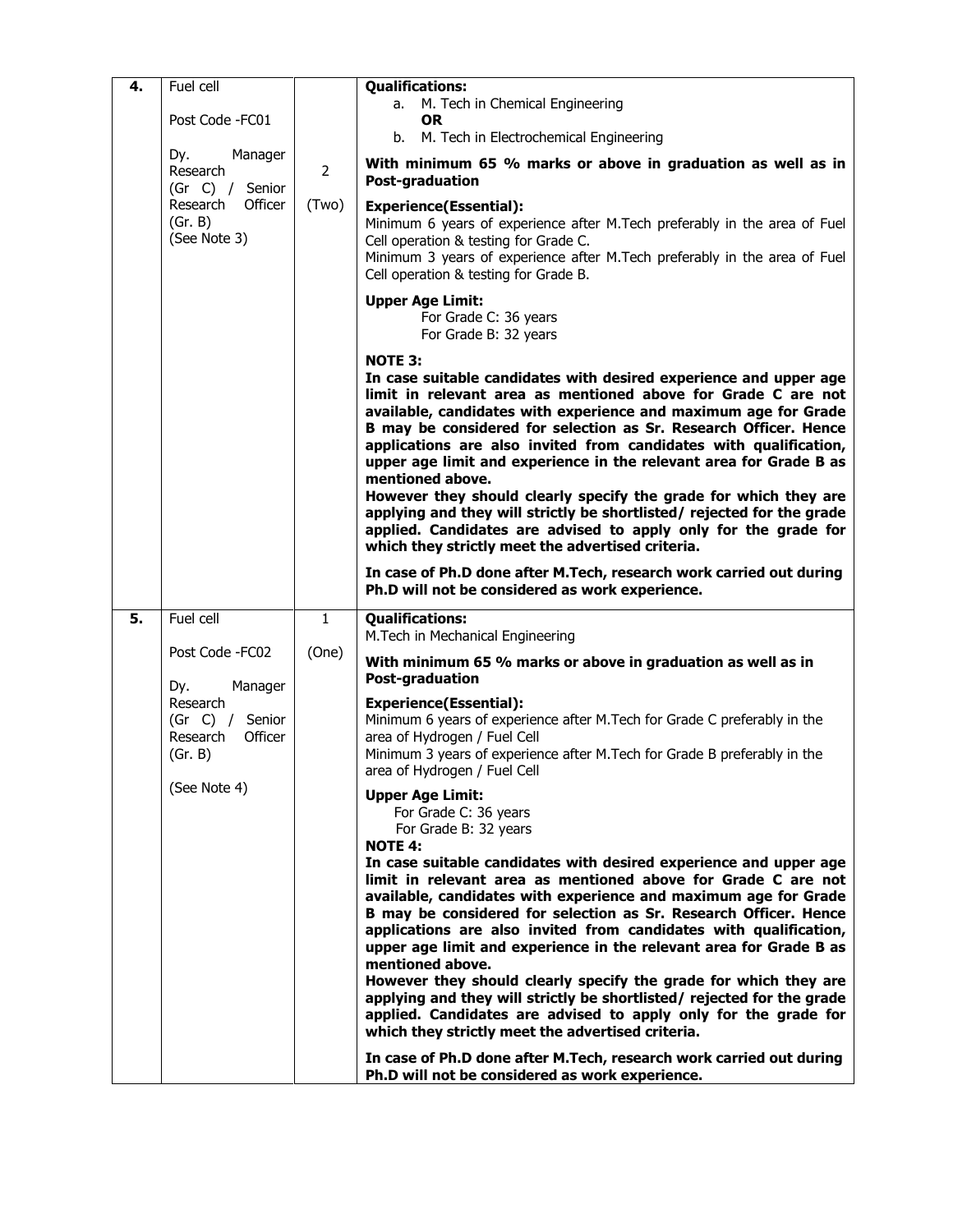| 4. | Fuel cell<br>Post Code - FC01                                    |              | <b>Qualifications:</b><br>M. Tech in Chemical Engineering<br>a.<br><b>OR</b>                                                                                                                                                                                                                                                                                                                                                                                                                                                                                                                                                                                                                                                     |
|----|------------------------------------------------------------------|--------------|----------------------------------------------------------------------------------------------------------------------------------------------------------------------------------------------------------------------------------------------------------------------------------------------------------------------------------------------------------------------------------------------------------------------------------------------------------------------------------------------------------------------------------------------------------------------------------------------------------------------------------------------------------------------------------------------------------------------------------|
|    |                                                                  |              | b. M. Tech in Electrochemical Engineering                                                                                                                                                                                                                                                                                                                                                                                                                                                                                                                                                                                                                                                                                        |
|    | Dy.<br>Manager<br>Research<br>(Gr C) / Senior                    |              | With minimum 65 % marks or above in graduation as well as in<br><b>Post-graduation</b>                                                                                                                                                                                                                                                                                                                                                                                                                                                                                                                                                                                                                                           |
|    | Research<br>Officer<br>(Gr. B)<br>(See Note 3)                   | (Two)        | <b>Experience(Essential):</b><br>Minimum 6 years of experience after M. Tech preferably in the area of Fuel<br>Cell operation & testing for Grade C.<br>Minimum 3 years of experience after M. Tech preferably in the area of Fuel<br>Cell operation & testing for Grade B.                                                                                                                                                                                                                                                                                                                                                                                                                                                      |
|    |                                                                  |              | <b>Upper Age Limit:</b><br>For Grade C: 36 years<br>For Grade B: 32 years                                                                                                                                                                                                                                                                                                                                                                                                                                                                                                                                                                                                                                                        |
|    |                                                                  |              | <b>NOTE 3:</b><br>In case suitable candidates with desired experience and upper age<br>limit in relevant area as mentioned above for Grade C are not<br>available, candidates with experience and maximum age for Grade<br>B may be considered for selection as Sr. Research Officer. Hence<br>applications are also invited from candidates with qualification,<br>upper age limit and experience in the relevant area for Grade B as<br>mentioned above.<br>However they should clearly specify the grade for which they are<br>applying and they will strictly be shortlisted/ rejected for the grade<br>applied. Candidates are advised to apply only for the grade for<br>which they strictly meet the advertised criteria. |
|    |                                                                  |              | In case of Ph.D done after M.Tech, research work carried out during<br>Ph.D will not be considered as work experience.                                                                                                                                                                                                                                                                                                                                                                                                                                                                                                                                                                                                           |
| 5. | Fuel cell                                                        | $\mathbf{1}$ | <b>Qualifications:</b><br>M.Tech in Mechanical Engineering                                                                                                                                                                                                                                                                                                                                                                                                                                                                                                                                                                                                                                                                       |
|    | Post Code - FC02<br>Manager<br>Dy.                               | (One)        | With minimum 65 % marks or above in graduation as well as in<br><b>Post-graduation</b>                                                                                                                                                                                                                                                                                                                                                                                                                                                                                                                                                                                                                                           |
|    | Research<br>(Gr C) /<br>Senior<br>Research<br>Officer<br>(Gr. B) |              | <b>Experience(Essential):</b><br>Minimum 6 years of experience after M. Tech for Grade C preferably in the<br>area of Hydrogen / Fuel Cell<br>Minimum 3 years of experience after M. Tech for Grade B preferably in the<br>area of Hydrogen / Fuel Cell                                                                                                                                                                                                                                                                                                                                                                                                                                                                          |
|    | (See Note 4)                                                     |              | <b>Upper Age Limit:</b><br>For Grade C: 36 years<br>For Grade B: 32 years<br><b>NOTE 4:</b>                                                                                                                                                                                                                                                                                                                                                                                                                                                                                                                                                                                                                                      |
|    |                                                                  |              | In case suitable candidates with desired experience and upper age<br>limit in relevant area as mentioned above for Grade C are not<br>available, candidates with experience and maximum age for Grade<br>B may be considered for selection as Sr. Research Officer. Hence<br>applications are also invited from candidates with qualification,<br>upper age limit and experience in the relevant area for Grade B as<br>mentioned above.                                                                                                                                                                                                                                                                                         |
|    |                                                                  |              | However they should clearly specify the grade for which they are<br>applying and they will strictly be shortlisted/ rejected for the grade<br>applied. Candidates are advised to apply only for the grade for<br>which they strictly meet the advertised criteria.                                                                                                                                                                                                                                                                                                                                                                                                                                                               |
|    |                                                                  |              | In case of Ph.D done after M.Tech, research work carried out during<br>Ph.D will not be considered as work experience.                                                                                                                                                                                                                                                                                                                                                                                                                                                                                                                                                                                                           |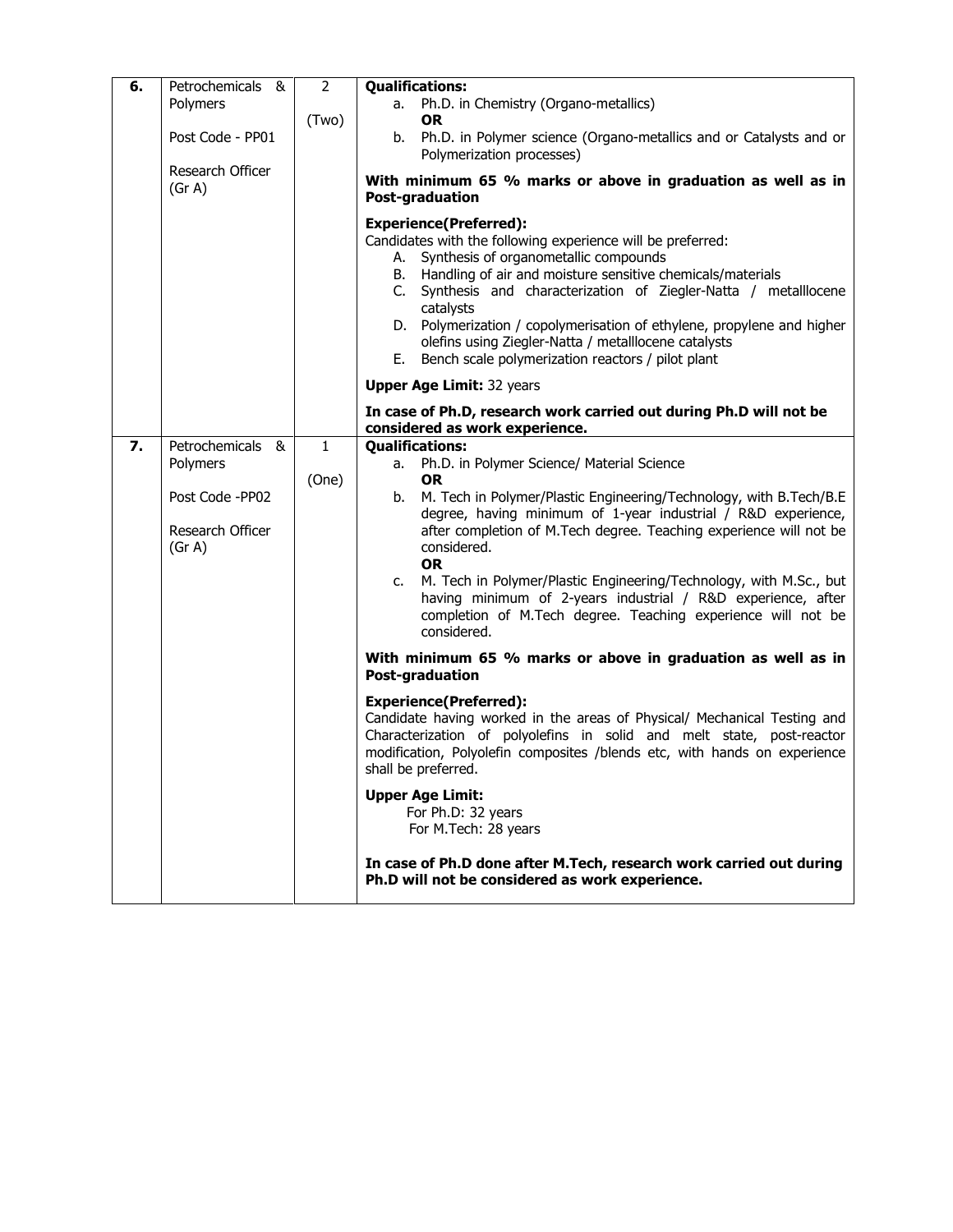| 6. | Petrochemicals &                                                               | $\overline{2}$        | <b>Qualifications:</b>                                                                                                                                                                                                                                                                                                                                                                                                                                                                                                                                                                                                                                                                                                                                                                                                                                                                                                                                                                                                   |  |  |  |  |
|----|--------------------------------------------------------------------------------|-----------------------|--------------------------------------------------------------------------------------------------------------------------------------------------------------------------------------------------------------------------------------------------------------------------------------------------------------------------------------------------------------------------------------------------------------------------------------------------------------------------------------------------------------------------------------------------------------------------------------------------------------------------------------------------------------------------------------------------------------------------------------------------------------------------------------------------------------------------------------------------------------------------------------------------------------------------------------------------------------------------------------------------------------------------|--|--|--|--|
|    | Polymers                                                                       |                       | Ph.D. in Chemistry (Organo-metallics)<br>а.<br><b>OR</b>                                                                                                                                                                                                                                                                                                                                                                                                                                                                                                                                                                                                                                                                                                                                                                                                                                                                                                                                                                 |  |  |  |  |
|    | Post Code - PP01                                                               | (Two)                 | b. Ph.D. in Polymer science (Organo-metallics and or Catalysts and or<br>Polymerization processes)                                                                                                                                                                                                                                                                                                                                                                                                                                                                                                                                                                                                                                                                                                                                                                                                                                                                                                                       |  |  |  |  |
|    | Research Officer<br>(Gr A)                                                     |                       | With minimum 65 % marks or above in graduation as well as in<br><b>Post-graduation</b>                                                                                                                                                                                                                                                                                                                                                                                                                                                                                                                                                                                                                                                                                                                                                                                                                                                                                                                                   |  |  |  |  |
|    |                                                                                |                       | <b>Experience(Preferred):</b><br>Candidates with the following experience will be preferred:<br>A. Synthesis of organometallic compounds<br>B. Handling of air and moisture sensitive chemicals/materials<br>C. Synthesis and characterization of Ziegler-Natta / metalllocene<br>catalysts<br>D. Polymerization / copolymerisation of ethylene, propylene and higher<br>olefins using Ziegler-Natta / metalllocene catalysts<br>E. Bench scale polymerization reactors / pilot plant                                                                                                                                                                                                                                                                                                                                                                                                                                                                                                                                    |  |  |  |  |
|    |                                                                                |                       | <b>Upper Age Limit: 32 years</b>                                                                                                                                                                                                                                                                                                                                                                                                                                                                                                                                                                                                                                                                                                                                                                                                                                                                                                                                                                                         |  |  |  |  |
|    |                                                                                |                       | In case of Ph.D, research work carried out during Ph.D will not be<br>considered as work experience.                                                                                                                                                                                                                                                                                                                                                                                                                                                                                                                                                                                                                                                                                                                                                                                                                                                                                                                     |  |  |  |  |
| 7. | Petrochemicals &<br>Polymers<br>Post Code - PP02<br>Research Officer<br>(Gr A) | $\mathbf{1}$<br>(One) | <b>Qualifications:</b><br>a. Ph.D. in Polymer Science/ Material Science<br><b>OR</b><br>M. Tech in Polymer/Plastic Engineering/Technology, with B.Tech/B.E<br>b.<br>degree, having minimum of 1-year industrial / R&D experience,<br>after completion of M.Tech degree. Teaching experience will not be<br>considered.<br><b>OR</b><br>c. M. Tech in Polymer/Plastic Engineering/Technology, with M.Sc., but<br>having minimum of 2-years industrial / R&D experience, after<br>completion of M.Tech degree. Teaching experience will not be<br>considered.<br>With minimum 65 % marks or above in graduation as well as in<br><b>Post-graduation</b><br><b>Experience(Preferred):</b><br>Candidate having worked in the areas of Physical/ Mechanical Testing and<br>Characterization of polyolefins in solid and melt state, post-reactor<br>modification, Polyolefin composites /blends etc, with hands on experience<br>shall be preferred.<br><b>Upper Age Limit:</b><br>For Ph.D: 32 years<br>For M.Tech: 28 years |  |  |  |  |
|    |                                                                                |                       | In case of Ph.D done after M.Tech, research work carried out during<br>Ph.D will not be considered as work experience.                                                                                                                                                                                                                                                                                                                                                                                                                                                                                                                                                                                                                                                                                                                                                                                                                                                                                                   |  |  |  |  |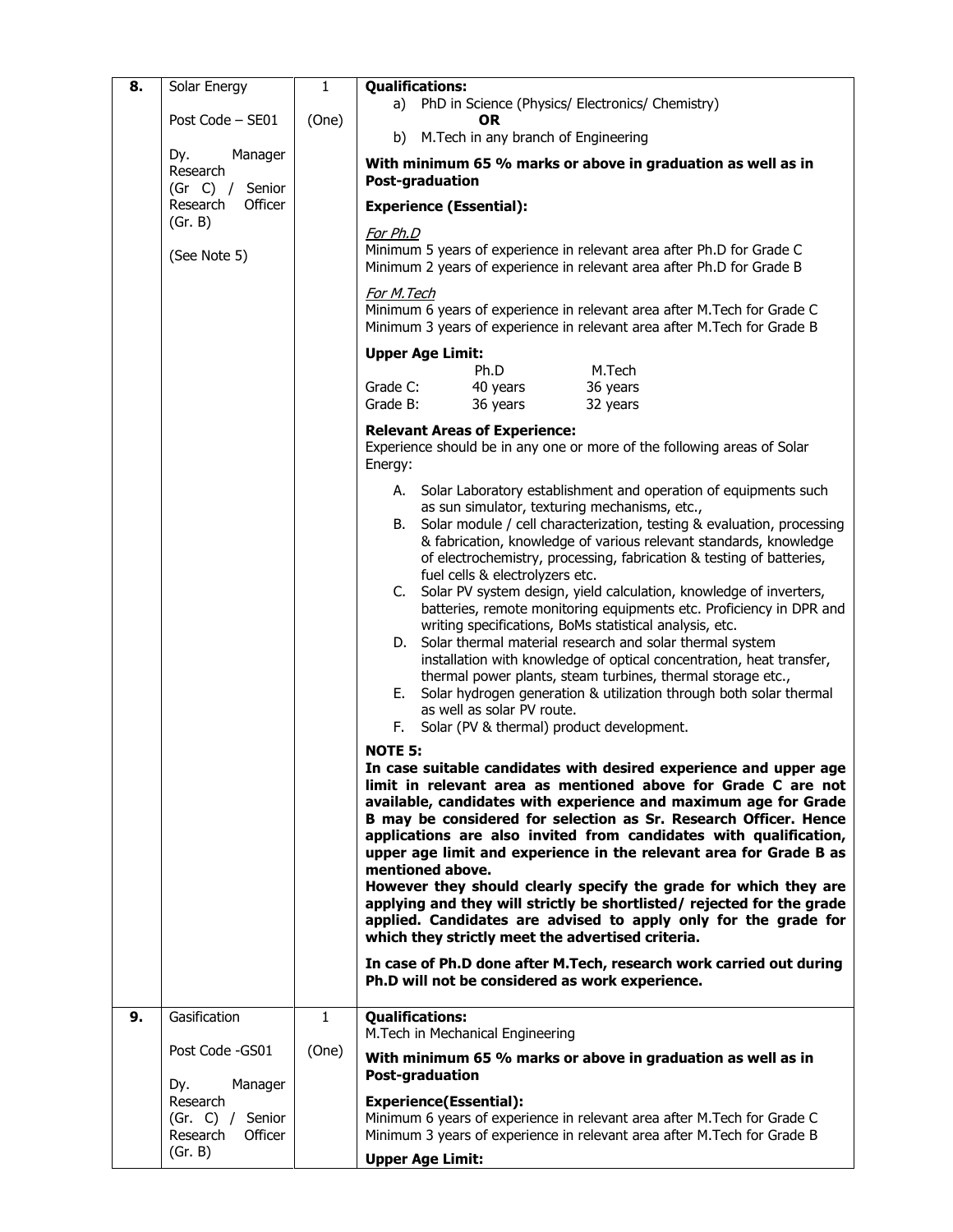| Post Code - SE01<br>(One)<br>0R<br>M. Tech in any branch of Engineering<br>b)<br>Dy.<br>Manager<br>With minimum 65 % marks or above in graduation as well as in<br>Research<br>Post-graduation<br>(Gr C) / Senior<br>Officer<br>Research<br><b>Experience (Essential):</b><br>(Gr. B)<br>For Ph.D<br>Minimum 5 years of experience in relevant area after Ph.D for Grade C<br>(See Note 5)<br>Minimum 2 years of experience in relevant area after Ph.D for Grade B<br>For M. Tech<br>Minimum 6 years of experience in relevant area after M.Tech for Grade C<br>Minimum 3 years of experience in relevant area after M. Tech for Grade B<br><b>Upper Age Limit:</b><br>Ph.D<br>M.Tech<br>Grade C:<br>40 years<br>36 years<br>36 years<br>Grade B:<br>32 years<br><b>Relevant Areas of Experience:</b><br>Experience should be in any one or more of the following areas of Solar<br>Energy:<br>A. Solar Laboratory establishment and operation of equipments such<br>as sun simulator, texturing mechanisms, etc.,<br>Solar module / cell characterization, testing & evaluation, processing<br>B.<br>& fabrication, knowledge of various relevant standards, knowledge<br>of electrochemistry, processing, fabrication & testing of batteries,<br>fuel cells & electrolyzers etc.<br>C. Solar PV system design, yield calculation, knowledge of inverters,<br>batteries, remote monitoring equipments etc. Proficiency in DPR and<br>writing specifications, BoMs statistical analysis, etc.<br>D. Solar thermal material research and solar thermal system<br>installation with knowledge of optical concentration, heat transfer,<br>thermal power plants, steam turbines, thermal storage etc.,<br>E. Solar hydrogen generation & utilization through both solar thermal<br>as well as solar PV route.<br>F. Solar (PV & thermal) product development.<br><b>NOTE 5:</b><br>In case suitable candidates with desired experience and upper age<br>limit in relevant area as mentioned above for Grade C are not<br>available, candidates with experience and maximum age for Grade<br>B may be considered for selection as Sr. Research Officer. Hence<br>applications are also invited from candidates with qualification,<br>upper age limit and experience in the relevant area for Grade B as<br>mentioned above.<br>However they should clearly specify the grade for which they are<br>applying and they will strictly be shortlisted/ rejected for the grade<br>applied. Candidates are advised to apply only for the grade for<br>which they strictly meet the advertised criteria.<br>In case of Ph.D done after M.Tech, research work carried out during<br>Ph.D will not be considered as work experience.<br>Gasification<br><b>Qualifications:</b><br>9.<br>$\mathbf{1}$<br>M.Tech in Mechanical Engineering<br>Post Code - GS01<br>(One)<br>With minimum 65 % marks or above in graduation as well as in<br><b>Post-graduation</b><br>Dy.<br>Manager<br>Research<br><b>Experience(Essential):</b><br>Minimum 6 years of experience in relevant area after M. Tech for Grade C<br>(Gr. C) / Senior<br>Minimum 3 years of experience in relevant area after M.Tech for Grade B<br>Research<br>Officer | 8. | Solar Energy | $\mathbf{1}$ | <b>Qualifications:</b><br>a) PhD in Science (Physics/ Electronics/ Chemistry) |  |  |  |  |  |
|-----------------------------------------------------------------------------------------------------------------------------------------------------------------------------------------------------------------------------------------------------------------------------------------------------------------------------------------------------------------------------------------------------------------------------------------------------------------------------------------------------------------------------------------------------------------------------------------------------------------------------------------------------------------------------------------------------------------------------------------------------------------------------------------------------------------------------------------------------------------------------------------------------------------------------------------------------------------------------------------------------------------------------------------------------------------------------------------------------------------------------------------------------------------------------------------------------------------------------------------------------------------------------------------------------------------------------------------------------------------------------------------------------------------------------------------------------------------------------------------------------------------------------------------------------------------------------------------------------------------------------------------------------------------------------------------------------------------------------------------------------------------------------------------------------------------------------------------------------------------------------------------------------------------------------------------------------------------------------------------------------------------------------------------------------------------------------------------------------------------------------------------------------------------------------------------------------------------------------------------------------------------------------------------------------------------------------------------------------------------------------------------------------------------------------------------------------------------------------------------------------------------------------------------------------------------------------------------------------------------------------------------------------------------------------------------------------------------------------------------------------------------------------------------------------------------------------------------------------------------------------------------------------------------------------------------------------------------------------------------------------------------------------------------------------------------------------------------------------------------------------------------------------------------------------------------------------------------------|----|--------------|--------------|-------------------------------------------------------------------------------|--|--|--|--|--|
|                                                                                                                                                                                                                                                                                                                                                                                                                                                                                                                                                                                                                                                                                                                                                                                                                                                                                                                                                                                                                                                                                                                                                                                                                                                                                                                                                                                                                                                                                                                                                                                                                                                                                                                                                                                                                                                                                                                                                                                                                                                                                                                                                                                                                                                                                                                                                                                                                                                                                                                                                                                                                                                                                                                                                                                                                                                                                                                                                                                                                                                                                                                                                                                                                       |    |              |              |                                                                               |  |  |  |  |  |
|                                                                                                                                                                                                                                                                                                                                                                                                                                                                                                                                                                                                                                                                                                                                                                                                                                                                                                                                                                                                                                                                                                                                                                                                                                                                                                                                                                                                                                                                                                                                                                                                                                                                                                                                                                                                                                                                                                                                                                                                                                                                                                                                                                                                                                                                                                                                                                                                                                                                                                                                                                                                                                                                                                                                                                                                                                                                                                                                                                                                                                                                                                                                                                                                                       |    |              |              |                                                                               |  |  |  |  |  |
|                                                                                                                                                                                                                                                                                                                                                                                                                                                                                                                                                                                                                                                                                                                                                                                                                                                                                                                                                                                                                                                                                                                                                                                                                                                                                                                                                                                                                                                                                                                                                                                                                                                                                                                                                                                                                                                                                                                                                                                                                                                                                                                                                                                                                                                                                                                                                                                                                                                                                                                                                                                                                                                                                                                                                                                                                                                                                                                                                                                                                                                                                                                                                                                                                       |    |              |              |                                                                               |  |  |  |  |  |
|                                                                                                                                                                                                                                                                                                                                                                                                                                                                                                                                                                                                                                                                                                                                                                                                                                                                                                                                                                                                                                                                                                                                                                                                                                                                                                                                                                                                                                                                                                                                                                                                                                                                                                                                                                                                                                                                                                                                                                                                                                                                                                                                                                                                                                                                                                                                                                                                                                                                                                                                                                                                                                                                                                                                                                                                                                                                                                                                                                                                                                                                                                                                                                                                                       |    |              |              |                                                                               |  |  |  |  |  |
|                                                                                                                                                                                                                                                                                                                                                                                                                                                                                                                                                                                                                                                                                                                                                                                                                                                                                                                                                                                                                                                                                                                                                                                                                                                                                                                                                                                                                                                                                                                                                                                                                                                                                                                                                                                                                                                                                                                                                                                                                                                                                                                                                                                                                                                                                                                                                                                                                                                                                                                                                                                                                                                                                                                                                                                                                                                                                                                                                                                                                                                                                                                                                                                                                       |    |              |              |                                                                               |  |  |  |  |  |
|                                                                                                                                                                                                                                                                                                                                                                                                                                                                                                                                                                                                                                                                                                                                                                                                                                                                                                                                                                                                                                                                                                                                                                                                                                                                                                                                                                                                                                                                                                                                                                                                                                                                                                                                                                                                                                                                                                                                                                                                                                                                                                                                                                                                                                                                                                                                                                                                                                                                                                                                                                                                                                                                                                                                                                                                                                                                                                                                                                                                                                                                                                                                                                                                                       |    |              |              |                                                                               |  |  |  |  |  |
|                                                                                                                                                                                                                                                                                                                                                                                                                                                                                                                                                                                                                                                                                                                                                                                                                                                                                                                                                                                                                                                                                                                                                                                                                                                                                                                                                                                                                                                                                                                                                                                                                                                                                                                                                                                                                                                                                                                                                                                                                                                                                                                                                                                                                                                                                                                                                                                                                                                                                                                                                                                                                                                                                                                                                                                                                                                                                                                                                                                                                                                                                                                                                                                                                       |    |              |              |                                                                               |  |  |  |  |  |
|                                                                                                                                                                                                                                                                                                                                                                                                                                                                                                                                                                                                                                                                                                                                                                                                                                                                                                                                                                                                                                                                                                                                                                                                                                                                                                                                                                                                                                                                                                                                                                                                                                                                                                                                                                                                                                                                                                                                                                                                                                                                                                                                                                                                                                                                                                                                                                                                                                                                                                                                                                                                                                                                                                                                                                                                                                                                                                                                                                                                                                                                                                                                                                                                                       |    |              |              |                                                                               |  |  |  |  |  |
|                                                                                                                                                                                                                                                                                                                                                                                                                                                                                                                                                                                                                                                                                                                                                                                                                                                                                                                                                                                                                                                                                                                                                                                                                                                                                                                                                                                                                                                                                                                                                                                                                                                                                                                                                                                                                                                                                                                                                                                                                                                                                                                                                                                                                                                                                                                                                                                                                                                                                                                                                                                                                                                                                                                                                                                                                                                                                                                                                                                                                                                                                                                                                                                                                       |    |              |              |                                                                               |  |  |  |  |  |
|                                                                                                                                                                                                                                                                                                                                                                                                                                                                                                                                                                                                                                                                                                                                                                                                                                                                                                                                                                                                                                                                                                                                                                                                                                                                                                                                                                                                                                                                                                                                                                                                                                                                                                                                                                                                                                                                                                                                                                                                                                                                                                                                                                                                                                                                                                                                                                                                                                                                                                                                                                                                                                                                                                                                                                                                                                                                                                                                                                                                                                                                                                                                                                                                                       |    |              |              |                                                                               |  |  |  |  |  |
|                                                                                                                                                                                                                                                                                                                                                                                                                                                                                                                                                                                                                                                                                                                                                                                                                                                                                                                                                                                                                                                                                                                                                                                                                                                                                                                                                                                                                                                                                                                                                                                                                                                                                                                                                                                                                                                                                                                                                                                                                                                                                                                                                                                                                                                                                                                                                                                                                                                                                                                                                                                                                                                                                                                                                                                                                                                                                                                                                                                                                                                                                                                                                                                                                       |    |              |              |                                                                               |  |  |  |  |  |
|                                                                                                                                                                                                                                                                                                                                                                                                                                                                                                                                                                                                                                                                                                                                                                                                                                                                                                                                                                                                                                                                                                                                                                                                                                                                                                                                                                                                                                                                                                                                                                                                                                                                                                                                                                                                                                                                                                                                                                                                                                                                                                                                                                                                                                                                                                                                                                                                                                                                                                                                                                                                                                                                                                                                                                                                                                                                                                                                                                                                                                                                                                                                                                                                                       |    |              |              |                                                                               |  |  |  |  |  |
|                                                                                                                                                                                                                                                                                                                                                                                                                                                                                                                                                                                                                                                                                                                                                                                                                                                                                                                                                                                                                                                                                                                                                                                                                                                                                                                                                                                                                                                                                                                                                                                                                                                                                                                                                                                                                                                                                                                                                                                                                                                                                                                                                                                                                                                                                                                                                                                                                                                                                                                                                                                                                                                                                                                                                                                                                                                                                                                                                                                                                                                                                                                                                                                                                       |    |              |              |                                                                               |  |  |  |  |  |
|                                                                                                                                                                                                                                                                                                                                                                                                                                                                                                                                                                                                                                                                                                                                                                                                                                                                                                                                                                                                                                                                                                                                                                                                                                                                                                                                                                                                                                                                                                                                                                                                                                                                                                                                                                                                                                                                                                                                                                                                                                                                                                                                                                                                                                                                                                                                                                                                                                                                                                                                                                                                                                                                                                                                                                                                                                                                                                                                                                                                                                                                                                                                                                                                                       |    |              |              |                                                                               |  |  |  |  |  |
|                                                                                                                                                                                                                                                                                                                                                                                                                                                                                                                                                                                                                                                                                                                                                                                                                                                                                                                                                                                                                                                                                                                                                                                                                                                                                                                                                                                                                                                                                                                                                                                                                                                                                                                                                                                                                                                                                                                                                                                                                                                                                                                                                                                                                                                                                                                                                                                                                                                                                                                                                                                                                                                                                                                                                                                                                                                                                                                                                                                                                                                                                                                                                                                                                       |    |              |              |                                                                               |  |  |  |  |  |
|                                                                                                                                                                                                                                                                                                                                                                                                                                                                                                                                                                                                                                                                                                                                                                                                                                                                                                                                                                                                                                                                                                                                                                                                                                                                                                                                                                                                                                                                                                                                                                                                                                                                                                                                                                                                                                                                                                                                                                                                                                                                                                                                                                                                                                                                                                                                                                                                                                                                                                                                                                                                                                                                                                                                                                                                                                                                                                                                                                                                                                                                                                                                                                                                                       |    |              |              |                                                                               |  |  |  |  |  |
|                                                                                                                                                                                                                                                                                                                                                                                                                                                                                                                                                                                                                                                                                                                                                                                                                                                                                                                                                                                                                                                                                                                                                                                                                                                                                                                                                                                                                                                                                                                                                                                                                                                                                                                                                                                                                                                                                                                                                                                                                                                                                                                                                                                                                                                                                                                                                                                                                                                                                                                                                                                                                                                                                                                                                                                                                                                                                                                                                                                                                                                                                                                                                                                                                       |    |              |              |                                                                               |  |  |  |  |  |
|                                                                                                                                                                                                                                                                                                                                                                                                                                                                                                                                                                                                                                                                                                                                                                                                                                                                                                                                                                                                                                                                                                                                                                                                                                                                                                                                                                                                                                                                                                                                                                                                                                                                                                                                                                                                                                                                                                                                                                                                                                                                                                                                                                                                                                                                                                                                                                                                                                                                                                                                                                                                                                                                                                                                                                                                                                                                                                                                                                                                                                                                                                                                                                                                                       |    |              |              |                                                                               |  |  |  |  |  |
|                                                                                                                                                                                                                                                                                                                                                                                                                                                                                                                                                                                                                                                                                                                                                                                                                                                                                                                                                                                                                                                                                                                                                                                                                                                                                                                                                                                                                                                                                                                                                                                                                                                                                                                                                                                                                                                                                                                                                                                                                                                                                                                                                                                                                                                                                                                                                                                                                                                                                                                                                                                                                                                                                                                                                                                                                                                                                                                                                                                                                                                                                                                                                                                                                       |    |              |              |                                                                               |  |  |  |  |  |
|                                                                                                                                                                                                                                                                                                                                                                                                                                                                                                                                                                                                                                                                                                                                                                                                                                                                                                                                                                                                                                                                                                                                                                                                                                                                                                                                                                                                                                                                                                                                                                                                                                                                                                                                                                                                                                                                                                                                                                                                                                                                                                                                                                                                                                                                                                                                                                                                                                                                                                                                                                                                                                                                                                                                                                                                                                                                                                                                                                                                                                                                                                                                                                                                                       |    |              |              |                                                                               |  |  |  |  |  |
|                                                                                                                                                                                                                                                                                                                                                                                                                                                                                                                                                                                                                                                                                                                                                                                                                                                                                                                                                                                                                                                                                                                                                                                                                                                                                                                                                                                                                                                                                                                                                                                                                                                                                                                                                                                                                                                                                                                                                                                                                                                                                                                                                                                                                                                                                                                                                                                                                                                                                                                                                                                                                                                                                                                                                                                                                                                                                                                                                                                                                                                                                                                                                                                                                       |    |              |              |                                                                               |  |  |  |  |  |
|                                                                                                                                                                                                                                                                                                                                                                                                                                                                                                                                                                                                                                                                                                                                                                                                                                                                                                                                                                                                                                                                                                                                                                                                                                                                                                                                                                                                                                                                                                                                                                                                                                                                                                                                                                                                                                                                                                                                                                                                                                                                                                                                                                                                                                                                                                                                                                                                                                                                                                                                                                                                                                                                                                                                                                                                                                                                                                                                                                                                                                                                                                                                                                                                                       |    |              |              |                                                                               |  |  |  |  |  |
|                                                                                                                                                                                                                                                                                                                                                                                                                                                                                                                                                                                                                                                                                                                                                                                                                                                                                                                                                                                                                                                                                                                                                                                                                                                                                                                                                                                                                                                                                                                                                                                                                                                                                                                                                                                                                                                                                                                                                                                                                                                                                                                                                                                                                                                                                                                                                                                                                                                                                                                                                                                                                                                                                                                                                                                                                                                                                                                                                                                                                                                                                                                                                                                                                       |    |              |              |                                                                               |  |  |  |  |  |
|                                                                                                                                                                                                                                                                                                                                                                                                                                                                                                                                                                                                                                                                                                                                                                                                                                                                                                                                                                                                                                                                                                                                                                                                                                                                                                                                                                                                                                                                                                                                                                                                                                                                                                                                                                                                                                                                                                                                                                                                                                                                                                                                                                                                                                                                                                                                                                                                                                                                                                                                                                                                                                                                                                                                                                                                                                                                                                                                                                                                                                                                                                                                                                                                                       |    |              |              |                                                                               |  |  |  |  |  |
|                                                                                                                                                                                                                                                                                                                                                                                                                                                                                                                                                                                                                                                                                                                                                                                                                                                                                                                                                                                                                                                                                                                                                                                                                                                                                                                                                                                                                                                                                                                                                                                                                                                                                                                                                                                                                                                                                                                                                                                                                                                                                                                                                                                                                                                                                                                                                                                                                                                                                                                                                                                                                                                                                                                                                                                                                                                                                                                                                                                                                                                                                                                                                                                                                       |    |              |              |                                                                               |  |  |  |  |  |
|                                                                                                                                                                                                                                                                                                                                                                                                                                                                                                                                                                                                                                                                                                                                                                                                                                                                                                                                                                                                                                                                                                                                                                                                                                                                                                                                                                                                                                                                                                                                                                                                                                                                                                                                                                                                                                                                                                                                                                                                                                                                                                                                                                                                                                                                                                                                                                                                                                                                                                                                                                                                                                                                                                                                                                                                                                                                                                                                                                                                                                                                                                                                                                                                                       |    |              |              |                                                                               |  |  |  |  |  |
|                                                                                                                                                                                                                                                                                                                                                                                                                                                                                                                                                                                                                                                                                                                                                                                                                                                                                                                                                                                                                                                                                                                                                                                                                                                                                                                                                                                                                                                                                                                                                                                                                                                                                                                                                                                                                                                                                                                                                                                                                                                                                                                                                                                                                                                                                                                                                                                                                                                                                                                                                                                                                                                                                                                                                                                                                                                                                                                                                                                                                                                                                                                                                                                                                       |    | (Gr. B)      |              | <b>Upper Age Limit:</b>                                                       |  |  |  |  |  |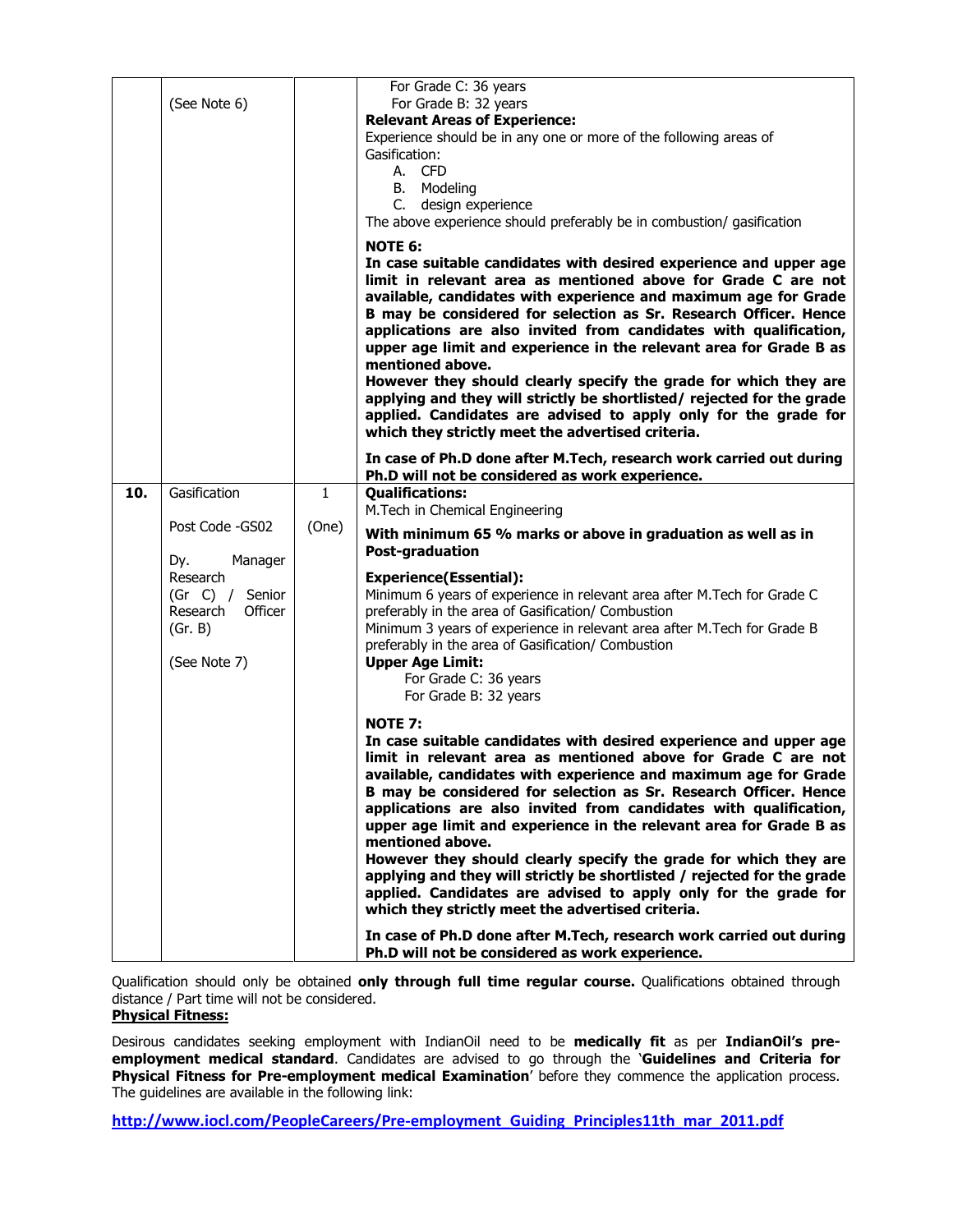|     | (See Note 6)                                                                                                                       |                       | For Grade C: 36 years<br>For Grade B: 32 years<br><b>Relevant Areas of Experience:</b><br>Experience should be in any one or more of the following areas of<br>Gasification:<br>A. CFD<br>B. Modeling<br>C. design experience<br>The above experience should preferably be in combustion/ gasification                                                                                                                                                                                                                                                                                                                                                                                                                                                                                                                                                                                                                                                                                                                                                                                                                                    |
|-----|------------------------------------------------------------------------------------------------------------------------------------|-----------------------|-------------------------------------------------------------------------------------------------------------------------------------------------------------------------------------------------------------------------------------------------------------------------------------------------------------------------------------------------------------------------------------------------------------------------------------------------------------------------------------------------------------------------------------------------------------------------------------------------------------------------------------------------------------------------------------------------------------------------------------------------------------------------------------------------------------------------------------------------------------------------------------------------------------------------------------------------------------------------------------------------------------------------------------------------------------------------------------------------------------------------------------------|
|     |                                                                                                                                    |                       | <b>NOTE 6:</b><br>In case suitable candidates with desired experience and upper age<br>limit in relevant area as mentioned above for Grade C are not<br>available, candidates with experience and maximum age for Grade<br>B may be considered for selection as Sr. Research Officer. Hence<br>applications are also invited from candidates with qualification,<br>upper age limit and experience in the relevant area for Grade B as<br>mentioned above.<br>However they should clearly specify the grade for which they are<br>applying and they will strictly be shortlisted/ rejected for the grade<br>applied. Candidates are advised to apply only for the grade for<br>which they strictly meet the advertised criteria.                                                                                                                                                                                                                                                                                                                                                                                                          |
|     |                                                                                                                                    |                       | In case of Ph.D done after M.Tech, research work carried out during<br>Ph.D will not be considered as work experience.                                                                                                                                                                                                                                                                                                                                                                                                                                                                                                                                                                                                                                                                                                                                                                                                                                                                                                                                                                                                                    |
| 10. | Gasification<br>Post Code -GS02<br>Dy.<br>Manager<br>Research<br>(Gr C) / Senior<br>Officer<br>Research<br>(Gr. B)<br>(See Note 7) | $\mathbf{1}$<br>(One) | <b>Qualifications:</b><br>M.Tech in Chemical Engineering<br>With minimum 65 % marks or above in graduation as well as in<br>Post-graduation<br><b>Experience(Essential):</b><br>Minimum 6 years of experience in relevant area after M.Tech for Grade C<br>preferably in the area of Gasification/ Combustion<br>Minimum 3 years of experience in relevant area after M. Tech for Grade B<br>preferably in the area of Gasification/ Combustion<br><b>Upper Age Limit:</b><br>For Grade C: 36 years<br>For Grade B: 32 years<br><b>NOTE 7:</b><br>In case suitable candidates with desired experience and upper age<br>limit in relevant area as mentioned above for Grade C are not<br>available, candidates with experience and maximum age for Grade<br>B may be considered for selection as Sr. Research Officer. Hence<br>applications are also invited from candidates with qualification,<br>upper age limit and experience in the relevant area for Grade B as<br>mentioned above.<br>However they should clearly specify the grade for which they are<br>applying and they will strictly be shortlisted / rejected for the grade |
|     |                                                                                                                                    |                       | applied. Candidates are advised to apply only for the grade for<br>which they strictly meet the advertised criteria.<br>In case of Ph.D done after M.Tech, research work carried out during<br>Ph.D will not be considered as work experience.                                                                                                                                                                                                                                                                                                                                                                                                                                                                                                                                                                                                                                                                                                                                                                                                                                                                                            |

Qualification should only be obtained only through full time regular course. Qualifications obtained through distance / Part time will not be considered.

## Physical Fitness:

Desirous candidates seeking employment with IndianOil need to be medically fit as per IndianOil's preemployment medical standard. Candidates are advised to go through the 'Guidelines and Criteria for Physical Fitness for Pre-employment medical Examination' before they commence the application process. The guidelines are available in the following link:

http://www.iocl.com/PeopleCareers/Pre-employment\_Guiding\_Principles11th\_mar\_2011.pdf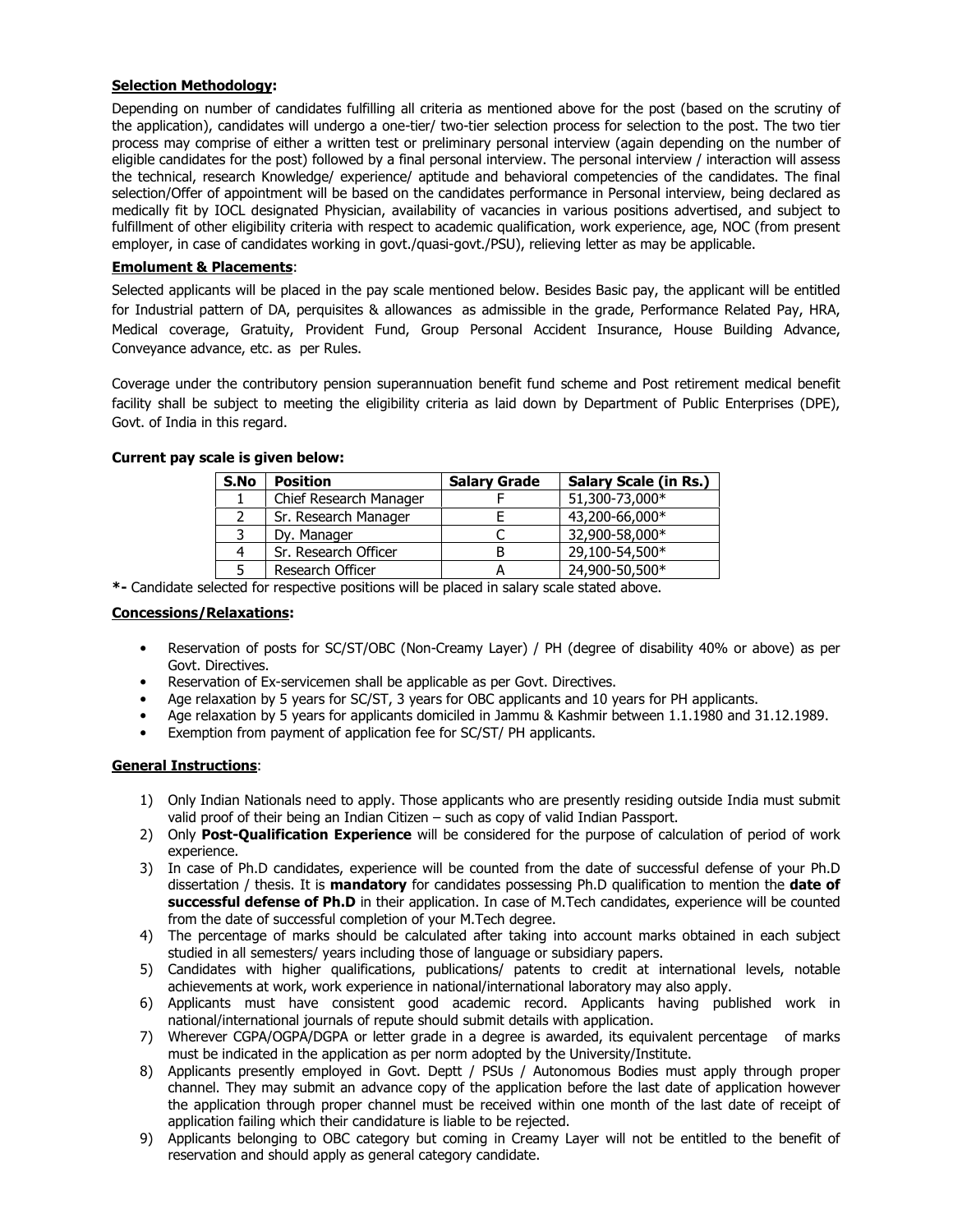# Selection Methodology:

Depending on number of candidates fulfilling all criteria as mentioned above for the post (based on the scrutiny of the application), candidates will undergo a one-tier/ two-tier selection process for selection to the post. The two tier process may comprise of either a written test or preliminary personal interview (again depending on the number of eligible candidates for the post) followed by a final personal interview. The personal interview / interaction will assess the technical, research Knowledge/ experience/ aptitude and behavioral competencies of the candidates. The final selection/Offer of appointment will be based on the candidates performance in Personal interview, being declared as medically fit by IOCL designated Physician, availability of vacancies in various positions advertised, and subject to fulfillment of other eligibility criteria with respect to academic qualification, work experience, age, NOC (from present employer, in case of candidates working in govt./quasi-govt./PSU), relieving letter as may be applicable.

# Emolument & Placements:

Selected applicants will be placed in the pay scale mentioned below. Besides Basic pay, the applicant will be entitled for Industrial pattern of DA, perquisites & allowances as admissible in the grade, Performance Related Pay, HRA, Medical coverage, Gratuity, Provident Fund, Group Personal Accident Insurance, House Building Advance, Conveyance advance, etc. as per Rules.

Coverage under the contributory pension superannuation benefit fund scheme and Post retirement medical benefit facility shall be subject to meeting the eligibility criteria as laid down by Department of Public Enterprises (DPE), Govt. of India in this regard.

| S.No | <b>Position</b>        | <b>Salary Grade</b> | <b>Salary Scale (in Rs.)</b> |
|------|------------------------|---------------------|------------------------------|
|      | Chief Research Manager |                     | 51,300-73,000*               |
|      | Sr. Research Manager   |                     | 43,200-66,000*               |
| 3    | Dy. Manager            |                     | 32,900-58,000*               |
| 4    | Sr. Research Officer   | B                   | 29,100-54,500*               |
| 5    | Research Officer       |                     | 24,900-50,500*               |

## Current pay scale is given below:

\*- Candidate selected for respective positions will be placed in salary scale stated above.

### Concessions/Relaxations:

- Reservation of posts for SC/ST/OBC (Non-Creamy Layer) / PH (degree of disability 40% or above) as per Govt. Directives.
- Reservation of Ex-servicemen shall be applicable as per Govt. Directives.
- Age relaxation by 5 years for SC/ST, 3 years for OBC applicants and 10 years for PH applicants.
- Age relaxation by 5 years for applicants domiciled in Jammu & Kashmir between 1.1.1980 and 31.12.1989.
- Exemption from payment of application fee for SC/ST/ PH applicants.

## General Instructions:

- 1) Only Indian Nationals need to apply. Those applicants who are presently residing outside India must submit valid proof of their being an Indian Citizen – such as copy of valid Indian Passport.
- 2) Only Post-Qualification Experience will be considered for the purpose of calculation of period of work experience.
- 3) In case of Ph.D candidates, experience will be counted from the date of successful defense of your Ph.D dissertation / thesis. It is **mandatory** for candidates possessing Ph.D qualification to mention the **date of** successful defense of Ph.D in their application. In case of M.Tech candidates, experience will be counted from the date of successful completion of your M.Tech degree.
- 4) The percentage of marks should be calculated after taking into account marks obtained in each subject studied in all semesters/ years including those of language or subsidiary papers.
- 5) Candidates with higher qualifications, publications/ patents to credit at international levels, notable achievements at work, work experience in national/international laboratory may also apply.
- 6) Applicants must have consistent good academic record. Applicants having published work in national/international journals of repute should submit details with application.
- 7) Wherever CGPA/OGPA/DGPA or letter grade in a degree is awarded, its equivalent percentage of marks must be indicated in the application as per norm adopted by the University/Institute.
- 8) Applicants presently employed in Govt. Deptt / PSUs / Autonomous Bodies must apply through proper channel. They may submit an advance copy of the application before the last date of application however the application through proper channel must be received within one month of the last date of receipt of application failing which their candidature is liable to be rejected.
- 9) Applicants belonging to OBC category but coming in Creamy Layer will not be entitled to the benefit of reservation and should apply as general category candidate.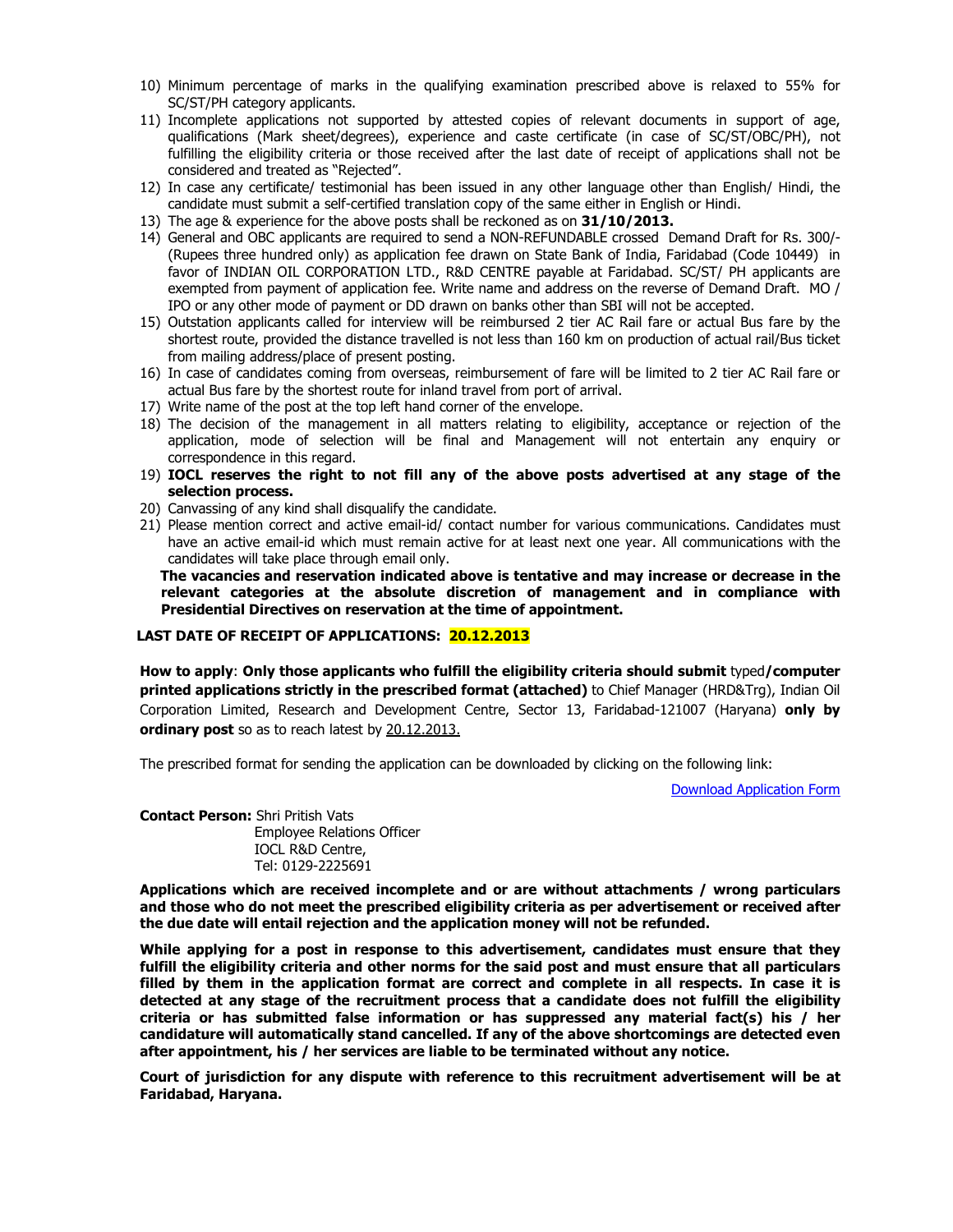- 10) Minimum percentage of marks in the qualifying examination prescribed above is relaxed to 55% for SC/ST/PH category applicants.
- 11) Incomplete applications not supported by attested copies of relevant documents in support of age, qualifications (Mark sheet/degrees), experience and caste certificate (in case of SC/ST/OBC/PH), not fulfilling the eligibility criteria or those received after the last date of receipt of applications shall not be considered and treated as "Rejected".
- 12) In case any certificate/ testimonial has been issued in any other language other than English/ Hindi, the candidate must submit a self-certified translation copy of the same either in English or Hindi.
- 13) The age & experience for the above posts shall be reckoned as on 31/10/2013.
- 14) General and OBC applicants are required to send a NON-REFUNDABLE crossed Demand Draft for Rs. 300/- (Rupees three hundred only) as application fee drawn on State Bank of India, Faridabad (Code 10449) in favor of INDIAN OIL CORPORATION LTD., R&D CENTRE payable at Faridabad. SC/ST/ PH applicants are exempted from payment of application fee. Write name and address on the reverse of Demand Draft. MO / IPO or any other mode of payment or DD drawn on banks other than SBI will not be accepted.
- 15) Outstation applicants called for interview will be reimbursed 2 tier AC Rail fare or actual Bus fare by the shortest route, provided the distance travelled is not less than 160 km on production of actual rail/Bus ticket from mailing address/place of present posting.
- 16) In case of candidates coming from overseas, reimbursement of fare will be limited to 2 tier AC Rail fare or actual Bus fare by the shortest route for inland travel from port of arrival.
- 17) Write name of the post at the top left hand corner of the envelope.
- 18) The decision of the management in all matters relating to eligibility, acceptance or rejection of the application, mode of selection will be final and Management will not entertain any enquiry or correspondence in this regard.
- 19) IOCL reserves the right to not fill any of the above posts advertised at any stage of the selection process.
- 20) Canvassing of any kind shall disqualify the candidate.
- 21) Please mention correct and active email-id/ contact number for various communications. Candidates must have an active email-id which must remain active for at least next one year. All communications with the candidates will take place through email only.

 The vacancies and reservation indicated above is tentative and may increase or decrease in the relevant categories at the absolute discretion of management and in compliance with Presidential Directives on reservation at the time of appointment.

#### LAST DATE OF RECEIPT OF APPLICATIONS: 20.12.2013

How to apply: Only those applicants who fulfill the eligibility criteria should submit typed/computer printed applications strictly in the prescribed format (attached) to Chief Manager (HRD&Trg), Indian Oil Corporation Limited, Research and Development Centre, Sector 13, Faridabad-121007 (Haryana) only by ordinary post so as to reach latest by 20.12.2013.

The prescribed format for sending the application can be downloaded by clicking on the following link:

[Download Application Form](http://www.iocl.com/download/Opportunities_in_IndianOil_R_and_D_Centre_Application_Form.pdf)

Contact Person: Shri Pritish Vats Employee Relations Officer IOCL R&D Centre, Tel: 0129-2225691

Applications which are received incomplete and or are without attachments / wrong particulars and those who do not meet the prescribed eligibility criteria as per advertisement or received after the due date will entail rejection and the application money will not be refunded.

While applying for a post in response to this advertisement, candidates must ensure that they fulfill the eligibility criteria and other norms for the said post and must ensure that all particulars filled by them in the application format are correct and complete in all respects. In case it is detected at any stage of the recruitment process that a candidate does not fulfill the eligibility criteria or has submitted false information or has suppressed any material fact(s) his / her candidature will automatically stand cancelled. If any of the above shortcomings are detected even after appointment, his / her services are liable to be terminated without any notice.

Court of jurisdiction for any dispute with reference to this recruitment advertisement will be at Faridabad, Haryana.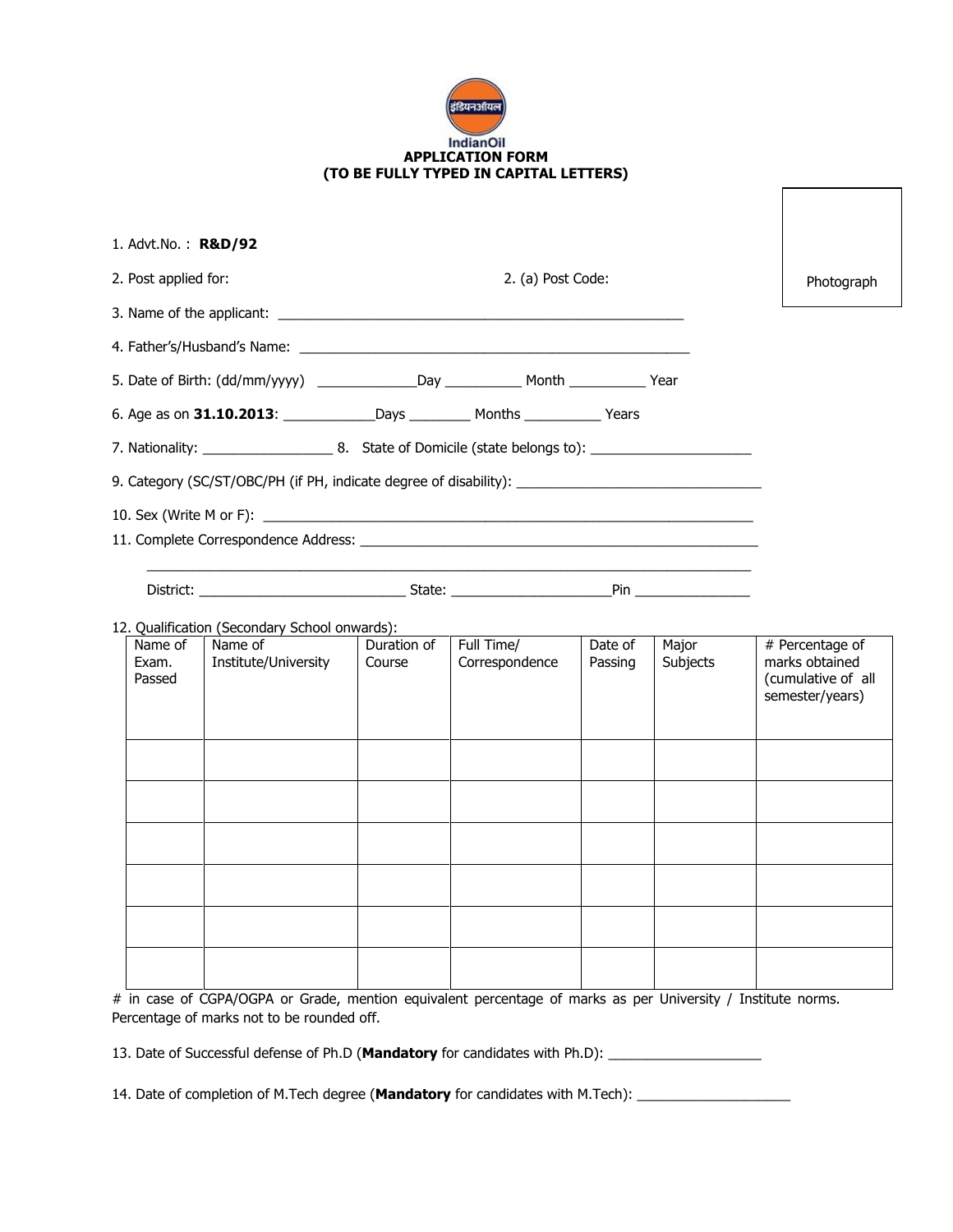| इंडियनऑयल                              |
|----------------------------------------|
| <b>IndianOil</b>                       |
|                                        |
| <b>APPLICATION FORM</b>                |
| (TO BE FULLY TYPED IN CAPITAL LETTERS) |

| 1. Advt. No.: $R&D/92$     |                                                                                                      |                       |                              |                    |                   |                                                                            |  |  |
|----------------------------|------------------------------------------------------------------------------------------------------|-----------------------|------------------------------|--------------------|-------------------|----------------------------------------------------------------------------|--|--|
|                            | 2. Post applied for:<br>2. (a) Post Code:                                                            |                       |                              |                    |                   |                                                                            |  |  |
|                            |                                                                                                      |                       |                              |                    |                   |                                                                            |  |  |
|                            |                                                                                                      |                       |                              |                    |                   |                                                                            |  |  |
|                            |                                                                                                      |                       |                              |                    |                   |                                                                            |  |  |
|                            |                                                                                                      |                       |                              |                    |                   |                                                                            |  |  |
|                            |                                                                                                      |                       |                              |                    |                   |                                                                            |  |  |
|                            | 9. Category (SC/ST/OBC/PH (if PH, indicate degree of disability): __________________________________ |                       |                              |                    |                   |                                                                            |  |  |
|                            |                                                                                                      |                       |                              |                    |                   |                                                                            |  |  |
|                            |                                                                                                      |                       |                              |                    |                   |                                                                            |  |  |
|                            |                                                                                                      |                       |                              |                    |                   |                                                                            |  |  |
|                            |                                                                                                      |                       |                              |                    |                   |                                                                            |  |  |
|                            | 12. Qualification (Secondary School onwards):                                                        |                       |                              |                    |                   |                                                                            |  |  |
| Name of<br>Exam.<br>Passed | Name of<br>Institute/University                                                                      | Duration of<br>Course | Full Time/<br>Correspondence | Date of<br>Passing | Major<br>Subjects | # Percentage of<br>marks obtained<br>(cumulative of all<br>semester/years) |  |  |
|                            |                                                                                                      |                       |                              |                    |                   |                                                                            |  |  |
|                            |                                                                                                      |                       |                              |                    |                   |                                                                            |  |  |
|                            |                                                                                                      |                       |                              |                    |                   |                                                                            |  |  |
|                            |                                                                                                      |                       |                              |                    |                   |                                                                            |  |  |
|                            |                                                                                                      |                       |                              |                    |                   |                                                                            |  |  |
|                            |                                                                                                      |                       |                              |                    |                   |                                                                            |  |  |
|                            |                                                                                                      |                       |                              |                    |                   |                                                                            |  |  |
|                            |                                                                                                      |                       |                              |                    |                   |                                                                            |  |  |

# in case of CGPA/OGPA or Grade, mention equivalent percentage of marks as per University / Institute norms. Percentage of marks not to be rounded off.

13. Date of Successful defense of Ph.D (Mandatory for candidates with Ph.D): \_\_\_\_\_\_\_\_\_\_\_\_\_\_\_\_\_\_\_\_\_\_\_\_\_\_\_\_\_\_\_\_\_

14. Date of completion of M.Tech degree (Mandatory for candidates with M.Tech): \_\_\_\_\_\_\_\_\_\_\_\_\_\_\_\_\_\_\_\_\_\_\_\_\_\_\_\_\_\_